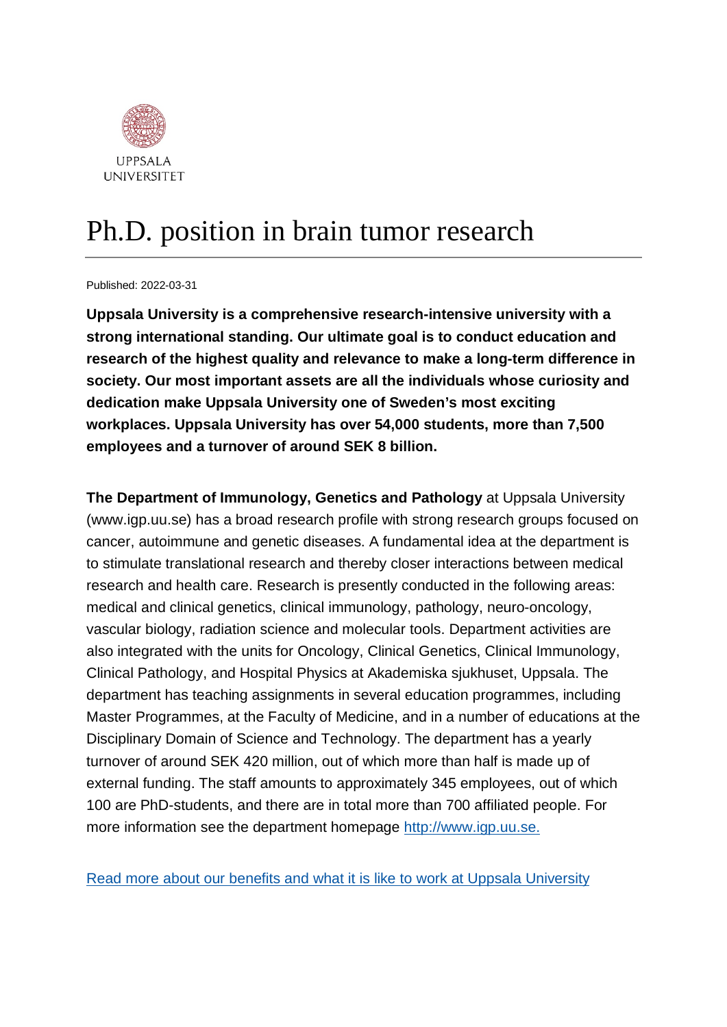

# Ph.D. position in brain tumor research

Published: 2022-03-31

**Uppsala University is a comprehensive research-intensive university with a strong international standing. Our ultimate goal is to conduct education and research of the highest quality and relevance to make a long-term difference in society. Our most important assets are all the individuals whose curiosity and dedication make Uppsala University one of Sweden's most exciting workplaces. Uppsala University has over 54,000 students, more than 7,500 employees and a turnover of around SEK 8 billion.**

**The Department of Immunology, Genetics and Pathology** at Uppsala University (www.igp.uu.se) has a broad research profile with strong research groups focused on cancer, autoimmune and genetic diseases. A fundamental idea at the department is to stimulate translational research and thereby closer interactions between medical research and health care. Research is presently conducted in the following areas: medical and clinical genetics, clinical immunology, pathology, neuro-oncology, vascular biology, radiation science and molecular tools. Department activities are also integrated with the units for Oncology, Clinical Genetics, Clinical Immunology, Clinical Pathology, and Hospital Physics at Akademiska sjukhuset, Uppsala. The department has teaching assignments in several education programmes, including Master Programmes, at the Faculty of Medicine, and in a number of educations at the Disciplinary Domain of Science and Technology. The department has a yearly turnover of around SEK 420 million, out of which more than half is made up of external funding. The staff amounts to approximately 345 employees, out of which 100 are PhD-students, and there are in total more than 700 affiliated people. For more information see the department homepage [http://www.igp.uu.se.](http://www.igp.uu.se./)

[Read more about our benefits and what it is like to work at Uppsala University](https://www.uu.se/en/about-uu/join-us/)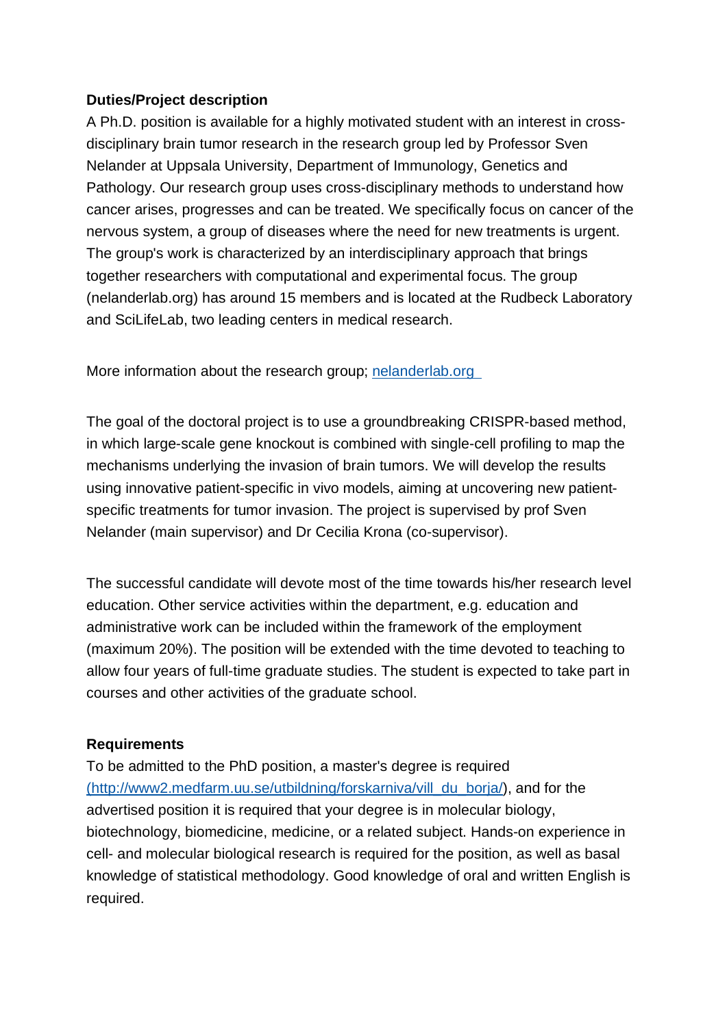# **Duties/Project description**

A Ph.D. position is available for a highly motivated student with an interest in crossdisciplinary brain tumor research in the research group led by Professor Sven Nelander at Uppsala University, Department of Immunology, Genetics and Pathology. Our research group uses cross-disciplinary methods to understand how cancer arises, progresses and can be treated. We specifically focus on cancer of the nervous system, a group of diseases where the need for new treatments is urgent. The group's work is characterized by an interdisciplinary approach that brings together researchers with computational and experimental focus. The group (nelanderlab.org) has around 15 members and is located at the Rudbeck Laboratory and SciLifeLab, two leading centers in medical research.

More information about the research group; [nelanderlab.org](https://uu.varbi.com/center/tool/position/491606/edit/tab:2/nelanderlab.org) 

The goal of the doctoral project is to use a groundbreaking CRISPR-based method, in which large-scale gene knockout is combined with single-cell profiling to map the mechanisms underlying the invasion of brain tumors. We will develop the results using innovative patient-specific in vivo models, aiming at uncovering new patientspecific treatments for tumor invasion. The project is supervised by prof Sven Nelander (main supervisor) and Dr Cecilia Krona (co-supervisor).

The successful candidate will devote most of the time towards his/her research level education. Other service activities within the department, e.g. education and administrative work can be included within the framework of the employment (maximum 20%). The position will be extended with the time devoted to teaching to allow four years of full-time graduate studies. The student is expected to take part in courses and other activities of the graduate school.

# **Requirements**

To be admitted to the PhD position, a master's degree is required [\(http://www2.medfarm.uu.se/utbildning/forskarniva/vill\\_du\\_borja/\)](https://uu.varbi.com/center/tool/position/491606/edit/tab:2/(http:/www2.medfarm.uu.se/utbildning/forskarniva/vill_du_borja/), and for the advertised position it is required that your degree is in molecular biology, biotechnology, biomedicine, medicine, or a related subject. Hands-on experience in cell- and molecular biological research is required for the position, as well as basal knowledge of statistical methodology. Good knowledge of oral and written English is required.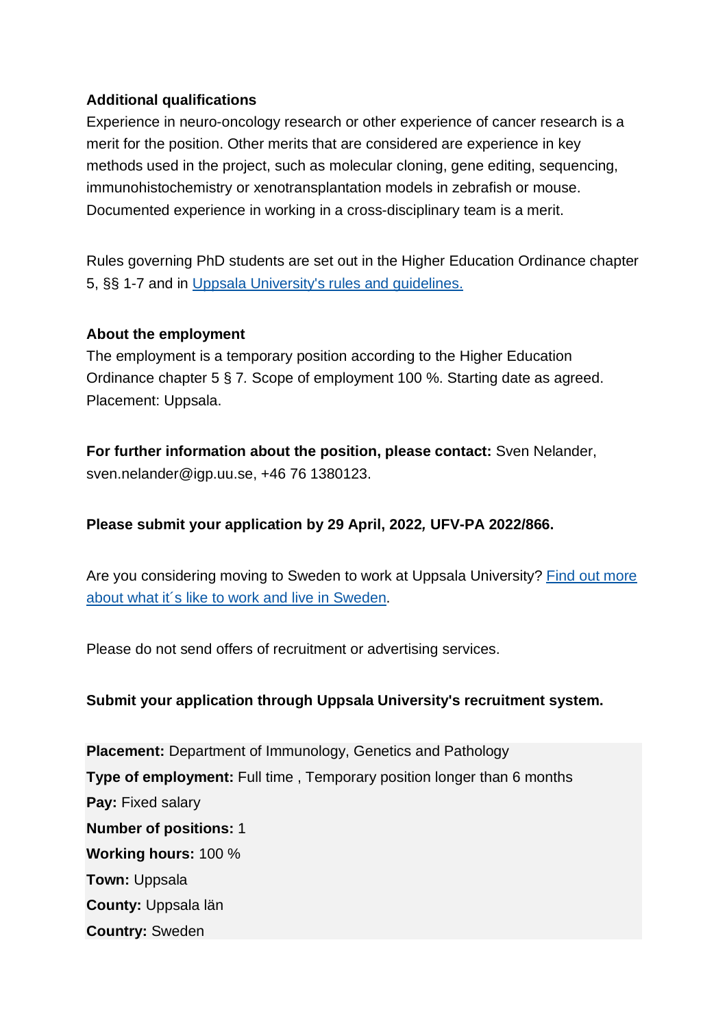# **Additional qualifications**

Experience in neuro-oncology research or other experience of cancer research is a merit for the position. Other merits that are considered are experience in key methods used in the project, such as molecular cloning, gene editing, sequencing, immunohistochemistry or xenotransplantation models in zebrafish or mouse. Documented experience in working in a cross-disciplinary team is a merit.

Rules governing PhD students are set out in the Higher Education Ordinance chapter 5, §§ 1-7 and in [Uppsala University's rules and guidelines.](https://regler.uu.se/?languageId=1)

# **About the employment**

The employment is a temporary position according to the Higher Education Ordinance chapter 5 § 7*.* Scope of employment 100 %. Starting date as agreed. Placement: Uppsala.

**For further information about the position, please contact:** Sven Nelander, sven.nelander@igp.uu.se, +46 76 1380123.

# **Please submit your application by 29 April, 2022***,* **UFV-PA 2022/866.**

Are you considering moving to Sweden to work at Uppsala University? [Find out more](https://www.uu.se/en/about-uu/join-us/advantages/)  [about what it´s like to work and live in](https://www.uu.se/en/about-uu/join-us/advantages/) Sweden.

Please do not send offers of recruitment or advertising services.

# **Submit your application through Uppsala University's recruitment system.**

**Placement:** Department of Immunology, Genetics and Pathology **Type of employment:** Full time , Temporary position longer than 6 months **Pay:** Fixed salary **Number of positions:** 1 **Working hours:** 100 % **Town:** Uppsala **County:** Uppsala län **Country:** Sweden